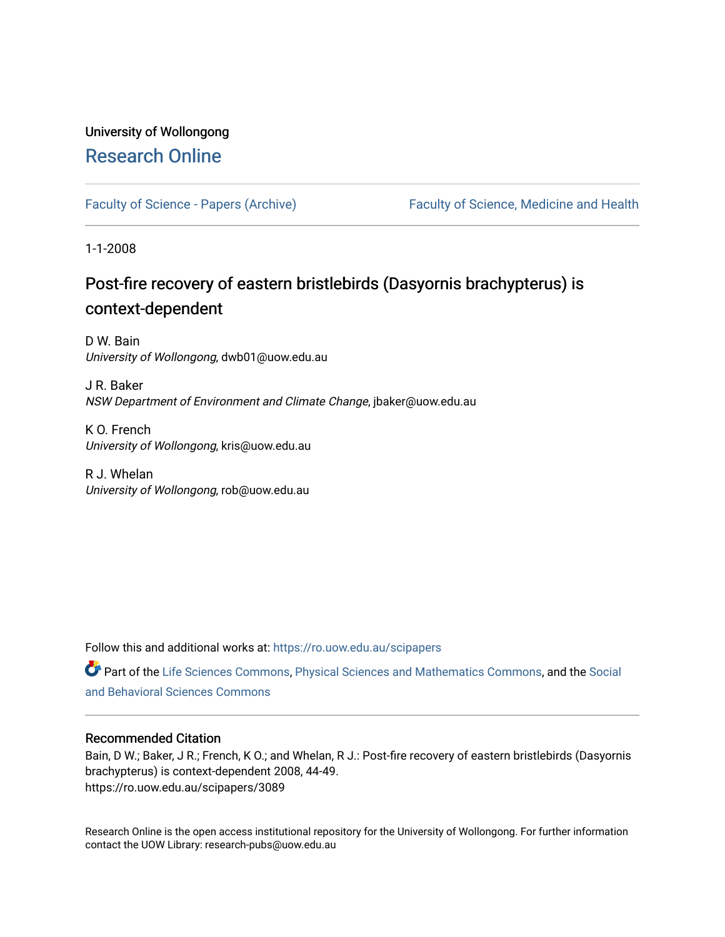# University of Wollongong [Research Online](https://ro.uow.edu.au/)

[Faculty of Science - Papers \(Archive\)](https://ro.uow.edu.au/scipapers) Faculty of Science, Medicine and Health

1-1-2008

# Post-fire recovery of eastern bristlebirds (Dasyornis brachypterus) is context-dependent

D W. Bain University of Wollongong, dwb01@uow.edu.au

J R. Baker NSW Department of Environment and Climate Change, jbaker@uow.edu.au

K O. French University of Wollongong, kris@uow.edu.au

R J. Whelan University of Wollongong, rob@uow.edu.au

Follow this and additional works at: [https://ro.uow.edu.au/scipapers](https://ro.uow.edu.au/scipapers?utm_source=ro.uow.edu.au%2Fscipapers%2F3089&utm_medium=PDF&utm_campaign=PDFCoverPages)

Part of the [Life Sciences Commons,](http://network.bepress.com/hgg/discipline/1016?utm_source=ro.uow.edu.au%2Fscipapers%2F3089&utm_medium=PDF&utm_campaign=PDFCoverPages) [Physical Sciences and Mathematics Commons,](http://network.bepress.com/hgg/discipline/114?utm_source=ro.uow.edu.au%2Fscipapers%2F3089&utm_medium=PDF&utm_campaign=PDFCoverPages) and the [Social](http://network.bepress.com/hgg/discipline/316?utm_source=ro.uow.edu.au%2Fscipapers%2F3089&utm_medium=PDF&utm_campaign=PDFCoverPages)  [and Behavioral Sciences Commons](http://network.bepress.com/hgg/discipline/316?utm_source=ro.uow.edu.au%2Fscipapers%2F3089&utm_medium=PDF&utm_campaign=PDFCoverPages) 

### Recommended Citation

Bain, D W.; Baker, J R.; French, K O.; and Whelan, R J.: Post-fire recovery of eastern bristlebirds (Dasyornis brachypterus) is context-dependent 2008, 44-49. https://ro.uow.edu.au/scipapers/3089

Research Online is the open access institutional repository for the University of Wollongong. For further information contact the UOW Library: research-pubs@uow.edu.au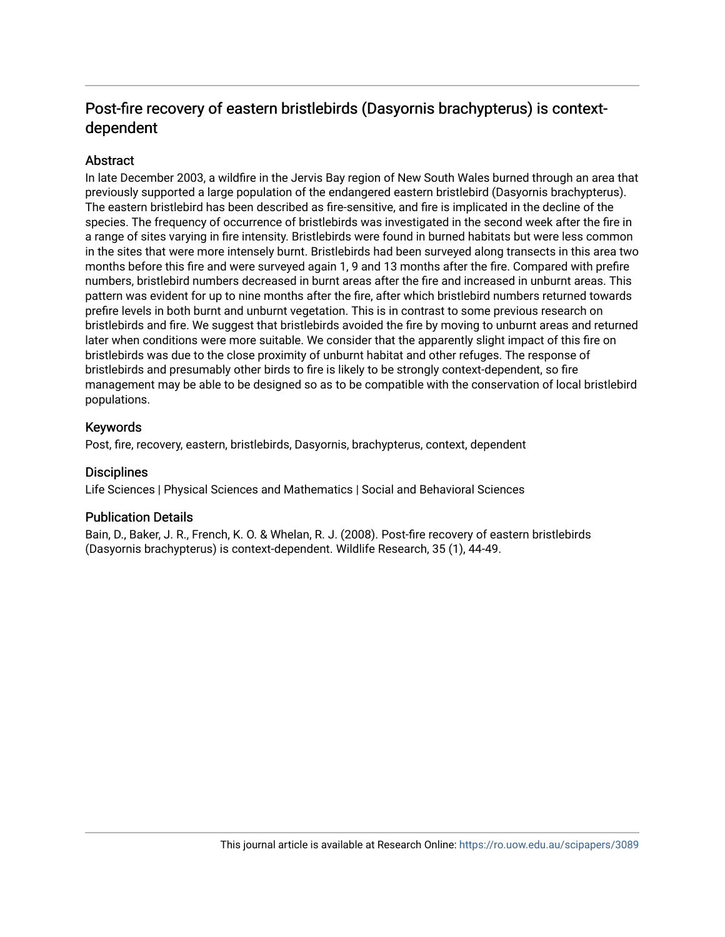## Post-fire recovery of eastern bristlebirds (Dasyornis brachypterus) is contextdependent

### **Abstract**

In late December 2003, a wildfire in the Jervis Bay region of New South Wales burned through an area that previously supported a large population of the endangered eastern bristlebird (Dasyornis brachypterus). The eastern bristlebird has been described as fire-sensitive, and fire is implicated in the decline of the species. The frequency of occurrence of bristlebirds was investigated in the second week after the fire in a range of sites varying in fire intensity. Bristlebirds were found in burned habitats but were less common in the sites that were more intensely burnt. Bristlebirds had been surveyed along transects in this area two months before this fire and were surveyed again 1, 9 and 13 months after the fire. Compared with prefire numbers, bristlebird numbers decreased in burnt areas after the fire and increased in unburnt areas. This pattern was evident for up to nine months after the fire, after which bristlebird numbers returned towards prefire levels in both burnt and unburnt vegetation. This is in contrast to some previous research on bristlebirds and fire. We suggest that bristlebirds avoided the fire by moving to unburnt areas and returned later when conditions were more suitable. We consider that the apparently slight impact of this fire on bristlebirds was due to the close proximity of unburnt habitat and other refuges. The response of bristlebirds and presumably other birds to fire is likely to be strongly context-dependent, so fire management may be able to be designed so as to be compatible with the conservation of local bristlebird populations.

### Keywords

Post, fire, recovery, eastern, bristlebirds, Dasyornis, brachypterus, context, dependent

### **Disciplines**

Life Sciences | Physical Sciences and Mathematics | Social and Behavioral Sciences

### Publication Details

Bain, D., Baker, J. R., French, K. O. & Whelan, R. J. (2008). Post-fire recovery of eastern bristlebirds (Dasyornis brachypterus) is context-dependent. Wildlife Research, 35 (1), 44-49.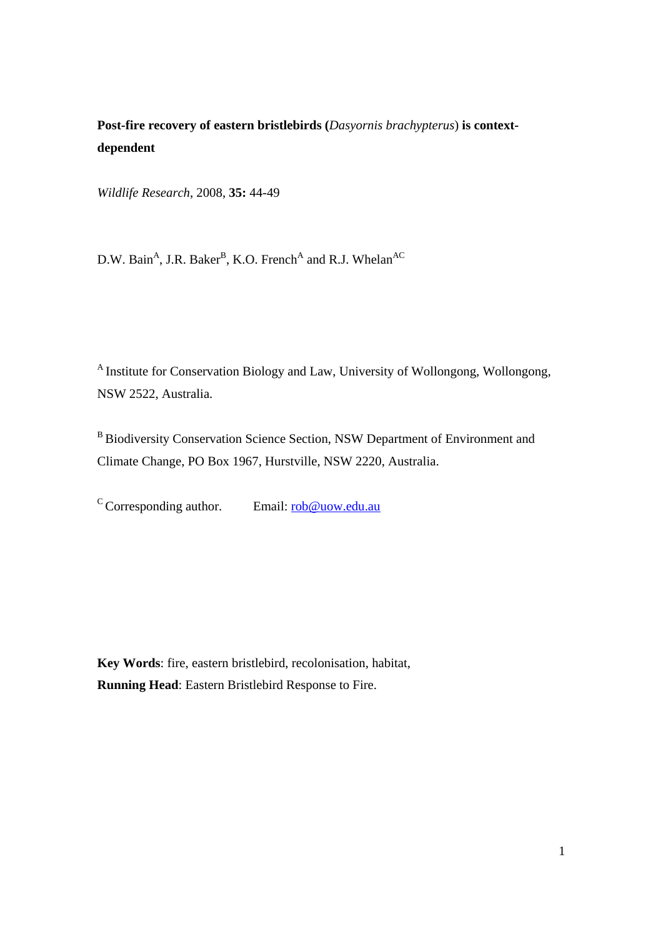# **Post-fire recovery of eastern bristlebirds (***Dasyornis brachypterus*) **is contextdependent**

*Wildlife Research*, 2008, **35:** 44-49

D.W. Bain<sup>A</sup>, J.R. Baker<sup>B</sup>, K.O. French<sup>A</sup> and R.J. Whelan<sup>AC</sup>

A Institute for Conservation Biology and Law, University of Wollongong, Wollongong, NSW 2522, Australia.

B Biodiversity Conservation Science Section, NSW Department of Environment and Climate Change, PO Box 1967, Hurstville, NSW 2220, Australia.

 $\sigma$ Corresponding author. Email: rob@uow.edu.au

**Key Words**: fire, eastern bristlebird, recolonisation, habitat, **Running Head**: Eastern Bristlebird Response to Fire.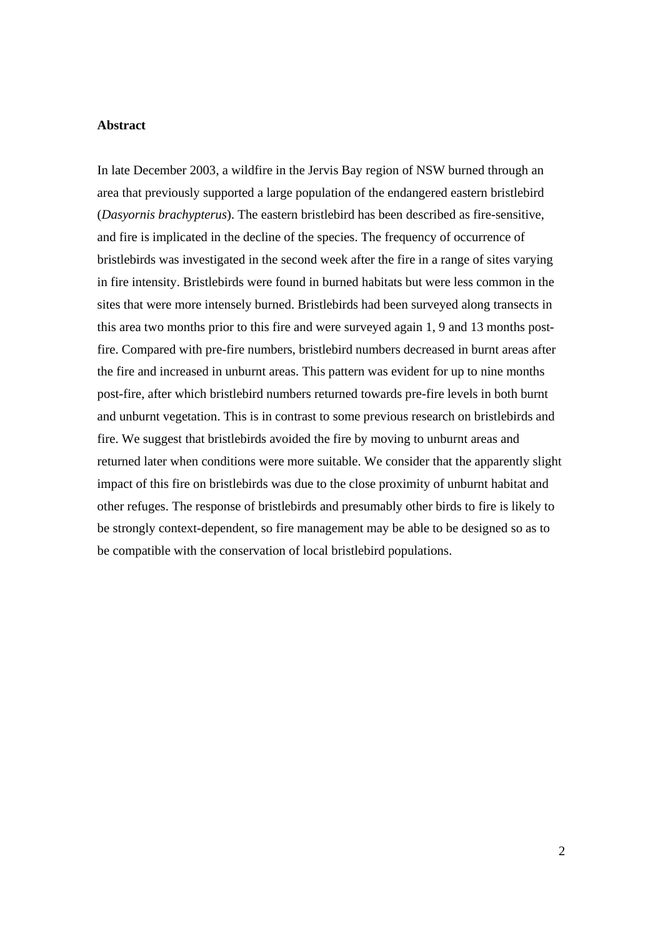#### **Abstract**

In late December 2003, a wildfire in the Jervis Bay region of NSW burned through an area that previously supported a large population of the endangered eastern bristlebird (*Dasyornis brachypterus*). The eastern bristlebird has been described as fire-sensitive, and fire is implicated in the decline of the species. The frequency of occurrence of bristlebirds was investigated in the second week after the fire in a range of sites varying in fire intensity. Bristlebirds were found in burned habitats but were less common in the sites that were more intensely burned. Bristlebirds had been surveyed along transects in this area two months prior to this fire and were surveyed again 1, 9 and 13 months postfire. Compared with pre-fire numbers, bristlebird numbers decreased in burnt areas after the fire and increased in unburnt areas. This pattern was evident for up to nine months post-fire, after which bristlebird numbers returned towards pre-fire levels in both burnt and unburnt vegetation. This is in contrast to some previous research on bristlebirds and fire. We suggest that bristlebirds avoided the fire by moving to unburnt areas and returned later when conditions were more suitable. We consider that the apparently slight impact of this fire on bristlebirds was due to the close proximity of unburnt habitat and other refuges. The response of bristlebirds and presumably other birds to fire is likely to be strongly context-dependent, so fire management may be able to be designed so as to be compatible with the conservation of local bristlebird populations.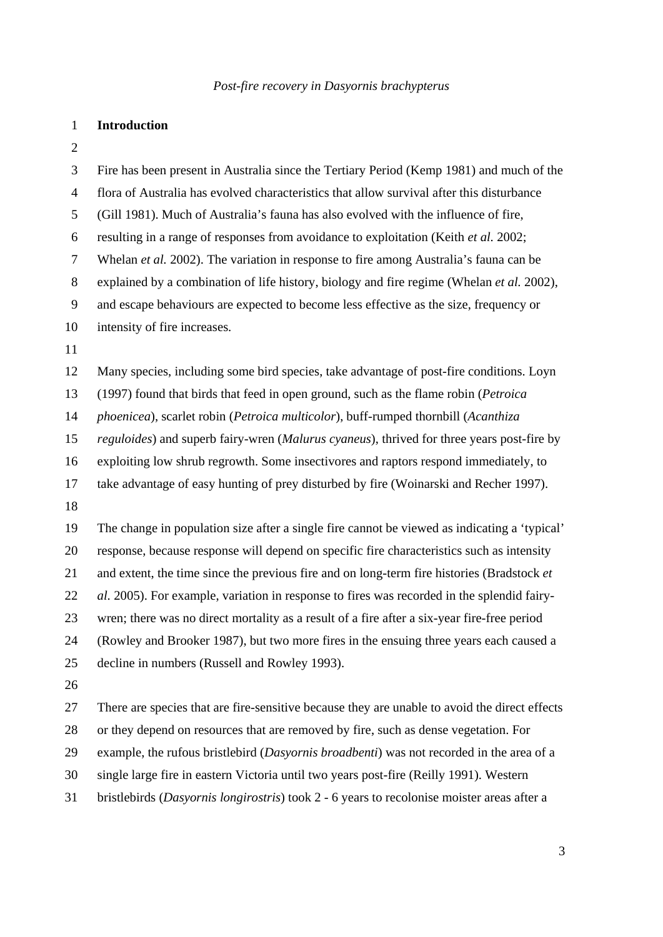#### 1 **Introduction**

2

3 Fire has been present in Australia since the Tertiary Period (Kemp 1981) and much of the 4 flora of Australia has evolved characteristics that allow survival after this disturbance 5 (Gill 1981). Much of Australia's fauna has also evolved with the influence of fire, 6 resulting in a range of responses from avoidance to exploitation (Keith *et al.* 2002; 7 Whelan *et al.* 2002). The variation in response to fire among Australia's fauna can be 8 explained by a combination of life history, biology and fire regime (Whelan *et al.* 2002), 9 and escape behaviours are expected to become less effective as the size, frequency or 10 intensity of fire increases. 11 12 Many species, including some bird species, take advantage of post-fire conditions. Loyn 13 (1997) found that birds that feed in open ground, such as the flame robin (*Petroica*  14 *phoenicea*), scarlet robin (*Petroica multicolor*), buff-rumped thornbill (*Acanthiza*  15 *reguloides*) and superb fairy-wren (*Malurus cyaneus*), thrived for three years post-fire by 16 exploiting low shrub regrowth. Some insectivores and raptors respond immediately, to 17 take advantage of easy hunting of prey disturbed by fire (Woinarski and Recher 1997). 18 19 The change in population size after a single fire cannot be viewed as indicating a 'typical' 20 response, because response will depend on specific fire characteristics such as intensity 21 and extent, the time since the previous fire and on long-term fire histories (Bradstock *et*  22 *al.* 2005). For example, variation in response to fires was recorded in the splendid fairy-23 wren; there was no direct mortality as a result of a fire after a six-year fire-free period 24 (Rowley and Brooker 1987), but two more fires in the ensuing three years each caused a 25 decline in numbers (Russell and Rowley 1993). 26 27 There are species that are fire-sensitive because they are unable to avoid the direct effects 28 or they depend on resources that are removed by fire, such as dense vegetation. For 29 example, the rufous bristlebird (*Dasyornis broadbenti*) was not recorded in the area of a 30 single large fire in eastern Victoria until two years post-fire (Reilly 1991). Western 31 bristlebirds (*Dasyornis longirostris*) took 2 - 6 years to recolonise moister areas after a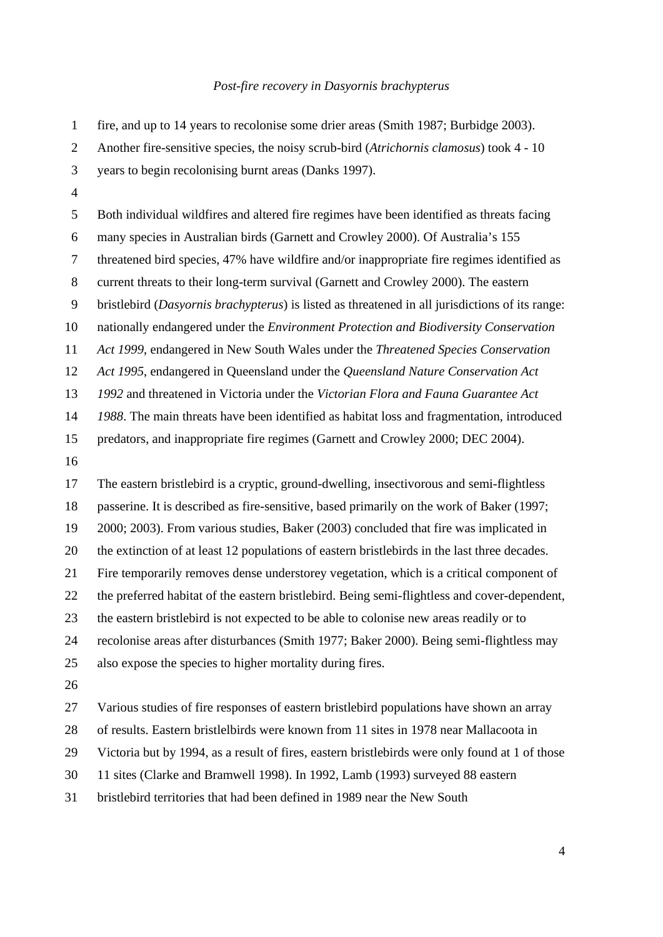| $\mathbf{1}$     | fire, and up to 14 years to recolonise some drier areas (Smith 1987; Burbidge 2003).            |
|------------------|-------------------------------------------------------------------------------------------------|
| $\mathbf{2}$     | Another fire-sensitive species, the noisy scrub-bird (Atrichornis clamosus) took 4 - 10         |
| 3                | years to begin recolonising burnt areas (Danks 1997).                                           |
| $\overline{4}$   |                                                                                                 |
| $\sqrt{5}$       | Both individual wildfires and altered fire regimes have been identified as threats facing       |
| $\boldsymbol{6}$ | many species in Australian birds (Garnett and Crowley 2000). Of Australia's 155                 |
| $\tau$           | threatened bird species, 47% have wildfire and/or inappropriate fire regimes identified as      |
| $\,8\,$          | current threats to their long-term survival (Garnett and Crowley 2000). The eastern             |
| $\mathbf{9}$     | bristlebird (Dasyornis brachypterus) is listed as threatened in all jurisdictions of its range: |
| 10               | nationally endangered under the Environment Protection and Biodiversity Conservation            |
| 11               | Act 1999, endangered in New South Wales under the Threatened Species Conservation               |
| 12               | Act 1995, endangered in Queensland under the Queensland Nature Conservation Act                 |
| 13               | 1992 and threatened in Victoria under the Victorian Flora and Fauna Guarantee Act               |
| 14               | 1988. The main threats have been identified as habitat loss and fragmentation, introduced       |
| 15               | predators, and inappropriate fire regimes (Garnett and Crowley 2000; DEC 2004).                 |
| 16               |                                                                                                 |
|                  |                                                                                                 |
| 17               | The eastern bristlebird is a cryptic, ground-dwelling, insectivorous and semi-flightless        |
| 18               | passerine. It is described as fire-sensitive, based primarily on the work of Baker (1997;       |
| 19               | 2000; 2003). From various studies, Baker (2003) concluded that fire was implicated in           |
| 20               | the extinction of at least 12 populations of eastern bristlebirds in the last three decades.    |
| 21               | Fire temporarily removes dense understorey vegetation, which is a critical component of         |
| 22               | the preferred habitat of the eastern bristlebird. Being semi-flightless and cover-dependent,    |
| 23               | the eastern bristlebird is not expected to be able to colonise new areas readily or to          |
| 24               | recolonise areas after disturbances (Smith 1977; Baker 2000). Being semi-flightless may         |
| 25               | also expose the species to higher mortality during fires.                                       |
| 26               |                                                                                                 |
| 27               | Various studies of fire responses of eastern bristlebird populations have shown an array        |
| 28               | of results. Eastern bristlelbirds were known from 11 sites in 1978 near Mallacoota in           |
| 29               | Victoria but by 1994, as a result of fires, eastern bristlebirds were only found at 1 of those  |
| 30               | 11 sites (Clarke and Bramwell 1998). In 1992, Lamb (1993) surveyed 88 eastern                   |

31 bristlebird territories that had been defined in 1989 near the New South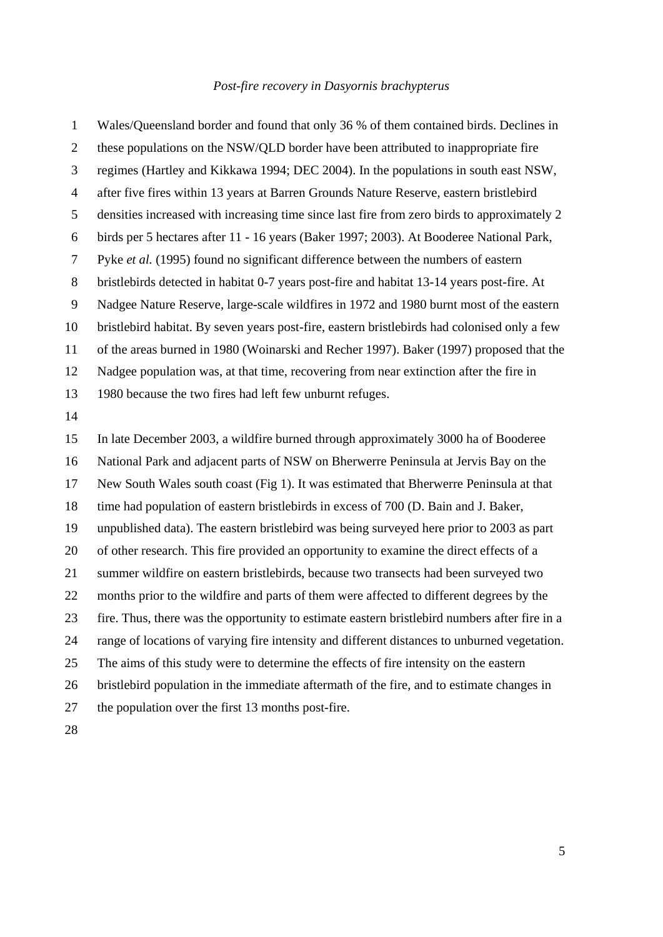1 Wales/Queensland border and found that only 36 % of them contained birds. Declines in 2 these populations on the NSW/QLD border have been attributed to inappropriate fire 3 regimes (Hartley and Kikkawa 1994; DEC 2004). In the populations in south east NSW, 4 after five fires within 13 years at Barren Grounds Nature Reserve, eastern bristlebird 5 densities increased with increasing time since last fire from zero birds to approximately 2 6 birds per 5 hectares after 11 - 16 years (Baker 1997; 2003). At Booderee National Park, 7 Pyke *et al.* (1995) found no significant difference between the numbers of eastern 8 bristlebirds detected in habitat 0-7 years post-fire and habitat 13-14 years post-fire. At 9 Nadgee Nature Reserve, large-scale wildfires in 1972 and 1980 burnt most of the eastern 10 bristlebird habitat. By seven years post-fire, eastern bristlebirds had colonised only a few 11 of the areas burned in 1980 (Woinarski and Recher 1997). Baker (1997) proposed that the 12 Nadgee population was, at that time, recovering from near extinction after the fire in 13 1980 because the two fires had left few unburnt refuges. 14 15 In late December 2003, a wildfire burned through approximately 3000 ha of Booderee 16 National Park and adjacent parts of NSW on Bherwerre Peninsula at Jervis Bay on the 17 New South Wales south coast (Fig 1). It was estimated that Bherwerre Peninsula at that 18 time had population of eastern bristlebirds in excess of 700 (D. Bain and J. Baker, 19 unpublished data). The eastern bristlebird was being surveyed here prior to 2003 as part 20 of other research. This fire provided an opportunity to examine the direct effects of a 21 summer wildfire on eastern bristlebirds, because two transects had been surveyed two 22 months prior to the wildfire and parts of them were affected to different degrees by the 23 fire. Thus, there was the opportunity to estimate eastern bristlebird numbers after fire in a 24 range of locations of varying fire intensity and different distances to unburned vegetation. 25 The aims of this study were to determine the effects of fire intensity on the eastern 26 bristlebird population in the immediate aftermath of the fire, and to estimate changes in 27 the population over the first 13 months post-fire. 28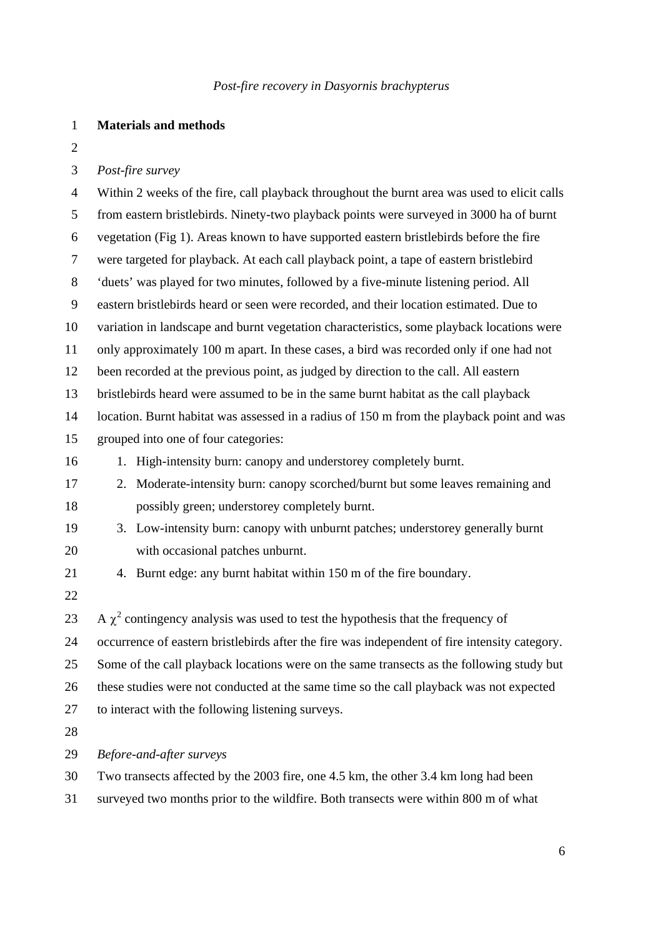#### 1 **Materials and methods**

2

#### 3 *Post-fire survey*

4 Within 2 weeks of the fire, call playback throughout the burnt area was used to elicit calls 5 from eastern bristlebirds. Ninety-two playback points were surveyed in 3000 ha of burnt 6 vegetation (Fig 1). Areas known to have supported eastern bristlebirds before the fire 7 were targeted for playback. At each call playback point, a tape of eastern bristlebird 8 'duets' was played for two minutes, followed by a five-minute listening period. All 9 eastern bristlebirds heard or seen were recorded, and their location estimated. Due to 10 variation in landscape and burnt vegetation characteristics, some playback locations were 11 only approximately 100 m apart. In these cases, a bird was recorded only if one had not 12 been recorded at the previous point, as judged by direction to the call. All eastern 13 bristlebirds heard were assumed to be in the same burnt habitat as the call playback 14 location. Burnt habitat was assessed in a radius of 150 m from the playback point and was 15 grouped into one of four categories: 16 1. High-intensity burn: canopy and understorey completely burnt. 17 2. Moderate-intensity burn: canopy scorched/burnt but some leaves remaining and 18 possibly green; understorey completely burnt. 19 3. Low-intensity burn: canopy with unburnt patches; understorey generally burnt 20 with occasional patches unburnt. 21 4. Burnt edge: any burnt habitat within 150 m of the fire boundary. 22 23 A  $\chi^2$  contingency analysis was used to test the hypothesis that the frequency of 24 occurrence of eastern bristlebirds after the fire was independent of fire intensity category. 25 Some of the call playback locations were on the same transects as the following study but 26 these studies were not conducted at the same time so the call playback was not expected 27 to interact with the following listening surveys. 28 29 *Before-and-after surveys*  30 Two transects affected by the 2003 fire, one 4.5 km, the other 3.4 km long had been

31 surveyed two months prior to the wildfire. Both transects were within 800 m of what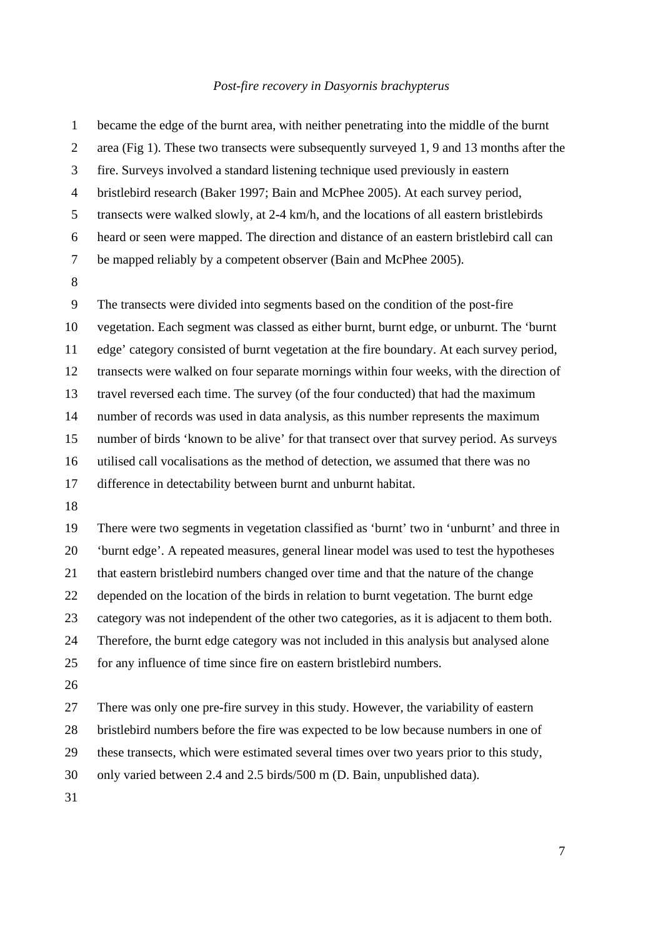| $\mathbf{1}$   | became the edge of the burnt area, with neither penetrating into the middle of the burnt  |
|----------------|-------------------------------------------------------------------------------------------|
| $\mathbf{2}$   | area (Fig 1). These two transects were subsequently surveyed 1, 9 and 13 months after the |
| 3              | fire. Surveys involved a standard listening technique used previously in eastern          |
| $\overline{4}$ | bristlebird research (Baker 1997; Bain and McPhee 2005). At each survey period,           |
| $\mathfrak{S}$ | transects were walked slowly, at 2-4 km/h, and the locations of all eastern bristlebirds  |
| 6              | heard or seen were mapped. The direction and distance of an eastern bristlebird call can  |
| $\tau$         | be mapped reliably by a competent observer (Bain and McPhee 2005).                        |
| $\, 8$         |                                                                                           |
| 9              | The transects were divided into segments based on the condition of the post-fire          |
| 10             | vegetation. Each segment was classed as either burnt, burnt edge, or unburnt. The 'burnt  |
| 11             | edge' category consisted of burnt vegetation at the fire boundary. At each survey period, |
| 12             | transects were walked on four separate mornings within four weeks, with the direction of  |
| 13             | travel reversed each time. The survey (of the four conducted) that had the maximum        |
| 14             | number of records was used in data analysis, as this number represents the maximum        |
| 15             | number of birds 'known to be alive' for that transect over that survey period. As surveys |
| 16             | utilised call vocalisations as the method of detection, we assumed that there was no      |
| 17             | difference in detectability between burnt and unburnt habitat.                            |
| 18             |                                                                                           |
| 19             | There were two segments in vegetation classified as 'burnt' two in 'unburnt' and three in |
| 20             | 'burnt edge'. A repeated measures, general linear model was used to test the hypotheses   |
| 21             | that eastern bristlebird numbers changed over time and that the nature of the change      |
| 22             | depended on the location of the birds in relation to burnt vegetation. The burnt edge     |
| 23             | category was not independent of the other two categories, as it is adjacent to them both. |
| 24             | Therefore, the burnt edge category was not included in this analysis but analysed alone   |
| 25             | for any influence of time since fire on eastern bristlebird numbers.                      |
| 26             |                                                                                           |
| 27             | There was only one pre-fire survey in this study. However, the variability of eastern     |
| 28             | bristlebird numbers before the fire was expected to be low because numbers in one of      |
| 29             | these transects, which were estimated several times over two years prior to this study,   |
| 30             | only varied between 2.4 and 2.5 birds/500 m (D. Bain, unpublished data).                  |
| 31             |                                                                                           |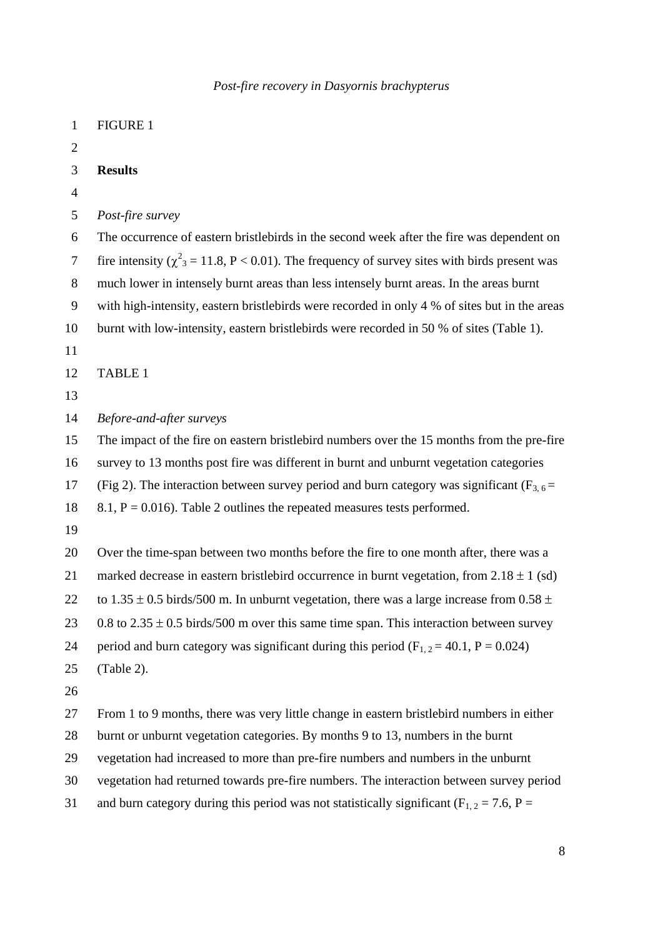| $\mathbf{1}$   | <b>FIGURE 1</b>                                                                                                |
|----------------|----------------------------------------------------------------------------------------------------------------|
| $\overline{2}$ |                                                                                                                |
| 3              | <b>Results</b>                                                                                                 |
| $\overline{4}$ |                                                                                                                |
| 5              | Post-fire survey                                                                                               |
| 6              | The occurrence of eastern bristlebirds in the second week after the fire was dependent on                      |
| $\tau$         | fire intensity ( $\chi^2$ <sub>3</sub> = 11.8, P < 0.01). The frequency of survey sites with birds present was |
| 8              | much lower in intensely burnt areas than less intensely burnt areas. In the areas burnt                        |
| 9              | with high-intensity, eastern bristlebirds were recorded in only 4 % of sites but in the areas                  |
| 10             | burnt with low-intensity, eastern bristlebirds were recorded in 50 % of sites (Table 1).                       |
| 11             |                                                                                                                |
| 12             | TABLE 1                                                                                                        |
| 13             |                                                                                                                |
| 14             | Before-and-after surveys                                                                                       |
| 15             | The impact of the fire on eastern bristlebird numbers over the 15 months from the pre-fire                     |
| 16             | survey to 13 months post fire was different in burnt and unburnt vegetation categories                         |
| 17             | (Fig 2). The interaction between survey period and burn category was significant ( $F_{3,6}$ =                 |
| 18             | 8.1, $P = 0.016$ ). Table 2 outlines the repeated measures tests performed.                                    |
| 19             |                                                                                                                |
| 20             | Over the time-span between two months before the fire to one month after, there was a                          |
| 21             | marked decrease in eastern bristlebird occurrence in burnt vegetation, from $2.18 \pm 1$ (sd)                  |
| 22             | to 1.35 $\pm$ 0.5 birds/500 m. In unburnt vegetation, there was a large increase from 0.58 $\pm$               |
| 23             | 0.8 to $2.35 \pm 0.5$ birds/500 m over this same time span. This interaction between survey                    |
| 24             | period and burn category was significant during this period ( $F_{1,2} = 40.1$ , $P = 0.024$ )                 |
| 25             | (Table 2).                                                                                                     |
| 26             |                                                                                                                |
| 27             | From 1 to 9 months, there was very little change in eastern bristlebird numbers in either                      |
| 28             | burnt or unburnt vegetation categories. By months 9 to 13, numbers in the burnt                                |
| 29             | vegetation had increased to more than pre-fire numbers and numbers in the unburnt                              |
| 30             | vegetation had returned towards pre-fire numbers. The interaction between survey period                        |
| 31             | and burn category during this period was not statistically significant ( $F_{1,2} = 7.6$ , $P =$               |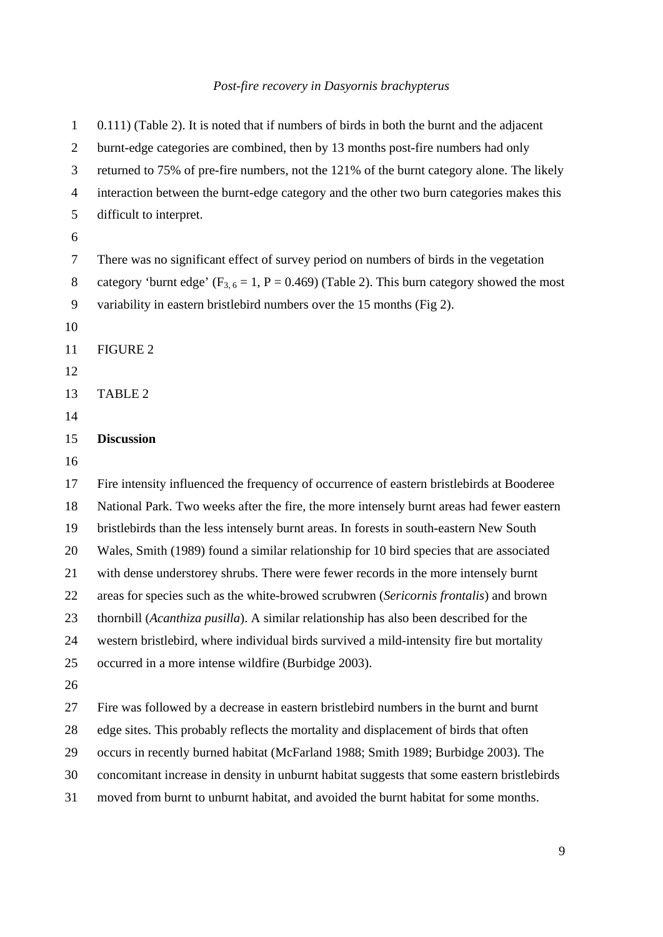1 0.111) (Table 2). It is noted that if numbers of birds in both the burnt and the adjacent 2 burnt-edge categories are combined, then by 13 months post-fire numbers had only 3 returned to 75% of pre-fire numbers, not the 121% of the burnt category alone. The likely 4 interaction between the burnt-edge category and the other two burn categories makes this 5 difficult to interpret. 6 7 There was no significant effect of survey period on numbers of birds in the vegetation 8 category 'burnt edge'  $(F_{3, 6} = 1, P = 0.469)$  (Table 2). This burn category showed the most 9 variability in eastern bristlebird numbers over the 15 months (Fig 2). 10 11 FIGURE 2 12 13 TABLE 2 14 15 **Discussion**  16 17 Fire intensity influenced the frequency of occurrence of eastern bristlebirds at Booderee 18 National Park. Two weeks after the fire, the more intensely burnt areas had fewer eastern 19 bristlebirds than the less intensely burnt areas. In forests in south-eastern New South 20 Wales, Smith (1989) found a similar relationship for 10 bird species that are associated 21 with dense understorey shrubs. There were fewer records in the more intensely burnt 22 areas for species such as the white-browed scrubwren (*Sericornis frontalis*) and brown 23 thornbill (*Acanthiza pusilla*). A similar relationship has also been described for the 24 western bristlebird, where individual birds survived a mild-intensity fire but mortality 25 occurred in a more intense wildfire (Burbidge 2003). 26 27 Fire was followed by a decrease in eastern bristlebird numbers in the burnt and burnt 28 edge sites. This probably reflects the mortality and displacement of birds that often 29 occurs in recently burned habitat (McFarland 1988; Smith 1989; Burbidge 2003). The 30 concomitant increase in density in unburnt habitat suggests that some eastern bristlebirds 31 moved from burnt to unburnt habitat, and avoided the burnt habitat for some months.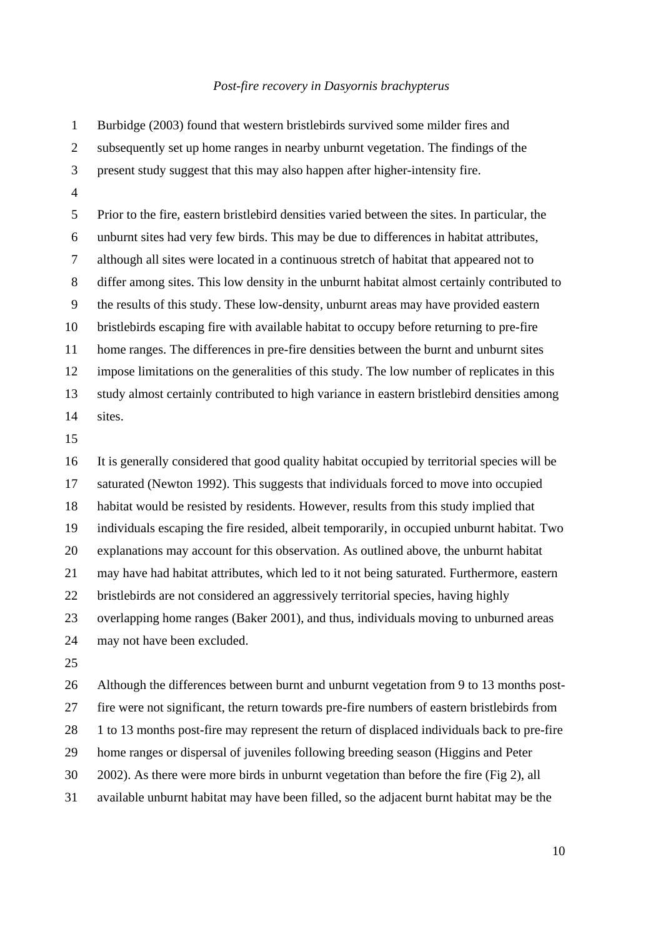1 Burbidge (2003) found that western bristlebirds survived some milder fires and 2 subsequently set up home ranges in nearby unburnt vegetation. The findings of the 3 present study suggest that this may also happen after higher-intensity fire. 4

5 Prior to the fire, eastern bristlebird densities varied between the sites. In particular, the 6 unburnt sites had very few birds. This may be due to differences in habitat attributes, 7 although all sites were located in a continuous stretch of habitat that appeared not to 8 differ among sites. This low density in the unburnt habitat almost certainly contributed to 9 the results of this study. These low-density, unburnt areas may have provided eastern 10 bristlebirds escaping fire with available habitat to occupy before returning to pre-fire 11 home ranges. The differences in pre-fire densities between the burnt and unburnt sites 12 impose limitations on the generalities of this study. The low number of replicates in this 13 study almost certainly contributed to high variance in eastern bristlebird densities among 14 sites.

15

16 It is generally considered that good quality habitat occupied by territorial species will be 17 saturated (Newton 1992). This suggests that individuals forced to move into occupied 18 habitat would be resisted by residents. However, results from this study implied that 19 individuals escaping the fire resided, albeit temporarily, in occupied unburnt habitat. Two 20 explanations may account for this observation. As outlined above, the unburnt habitat 21 may have had habitat attributes, which led to it not being saturated. Furthermore, eastern 22 bristlebirds are not considered an aggressively territorial species, having highly 23 overlapping home ranges (Baker 2001), and thus, individuals moving to unburned areas 24 may not have been excluded. 25

26 Although the differences between burnt and unburnt vegetation from 9 to 13 months post-27 fire were not significant, the return towards pre-fire numbers of eastern bristlebirds from 28 1 to 13 months post-fire may represent the return of displaced individuals back to pre-fire 29 home ranges or dispersal of juveniles following breeding season (Higgins and Peter 30 2002). As there were more birds in unburnt vegetation than before the fire (Fig 2), all 31 available unburnt habitat may have been filled, so the adjacent burnt habitat may be the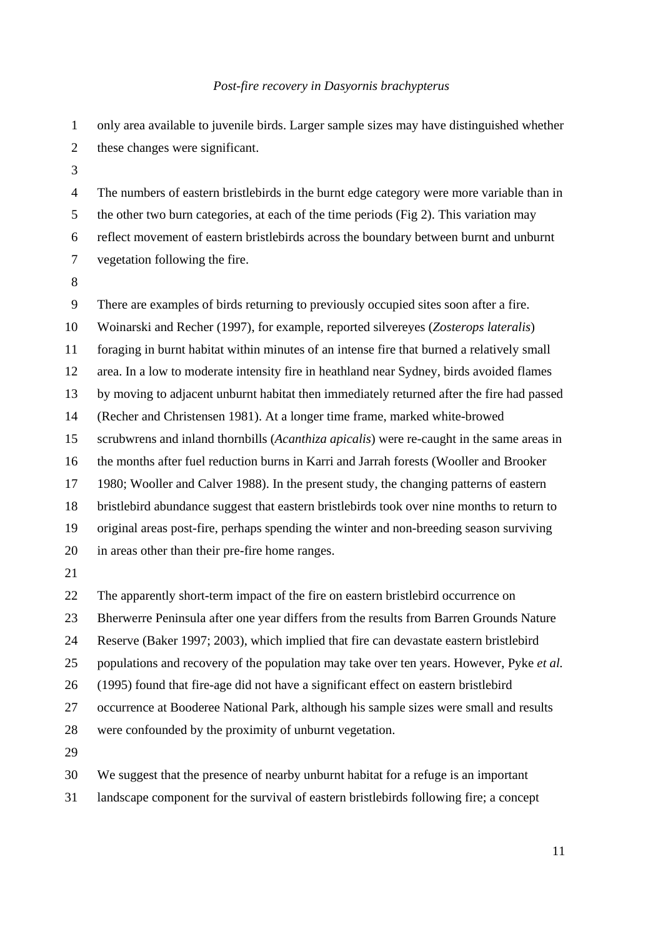| $\mathbf{1}$   | only area available to juvenile birds. Larger sample sizes may have distinguished whether  |
|----------------|--------------------------------------------------------------------------------------------|
| $\overline{2}$ | these changes were significant.                                                            |
| 3              |                                                                                            |
| $\overline{4}$ | The numbers of eastern bristlebirds in the burnt edge category were more variable than in  |
| 5              | the other two burn categories, at each of the time periods (Fig 2). This variation may     |
| 6              | reflect movement of eastern bristlebirds across the boundary between burnt and unburnt     |
| $\overline{7}$ | vegetation following the fire.                                                             |
| $\, 8$         |                                                                                            |
| 9              | There are examples of birds returning to previously occupied sites soon after a fire.      |
| 10             | Woinarski and Recher (1997), for example, reported silvereyes (Zosterops lateralis)        |
| 11             | foraging in burnt habitat within minutes of an intense fire that burned a relatively small |
| 12             | area. In a low to moderate intensity fire in heathland near Sydney, birds avoided flames   |
| 13             | by moving to adjacent unburnt habitat then immediately returned after the fire had passed  |
| 14             | (Recher and Christensen 1981). At a longer time frame, marked white-browed                 |
| 15             | scrubwrens and inland thornbills (Acanthiza apicalis) were re-caught in the same areas in  |
| 16             | the months after fuel reduction burns in Karri and Jarrah forests (Wooller and Brooker     |
| 17             | 1980; Wooller and Calver 1988). In the present study, the changing patterns of eastern     |
| 18             | bristlebird abundance suggest that eastern bristlebirds took over nine months to return to |
| 19             | original areas post-fire, perhaps spending the winter and non-breeding season surviving    |
| 20             | in areas other than their pre-fire home ranges.                                            |
| 21             |                                                                                            |
| 22             | The apparently short-term impact of the fire on eastern bristlebird occurrence on          |
| 23             | Bherwerre Peninsula after one year differs from the results from Barren Grounds Nature     |
| 24             | Reserve (Baker 1997; 2003), which implied that fire can devastate eastern bristlebird      |
| 25             | populations and recovery of the population may take over ten years. However, Pyke et al.   |
| 26             | (1995) found that fire-age did not have a significant effect on eastern bristlebird        |
| 27             | occurrence at Booderee National Park, although his sample sizes were small and results     |
| 28             | were confounded by the proximity of unburnt vegetation.                                    |
| 29             |                                                                                            |
| 30             | We suggest that the presence of nearby unburnt habitat for a refuge is an important        |
|                |                                                                                            |

31 landscape component for the survival of eastern bristlebirds following fire; a concept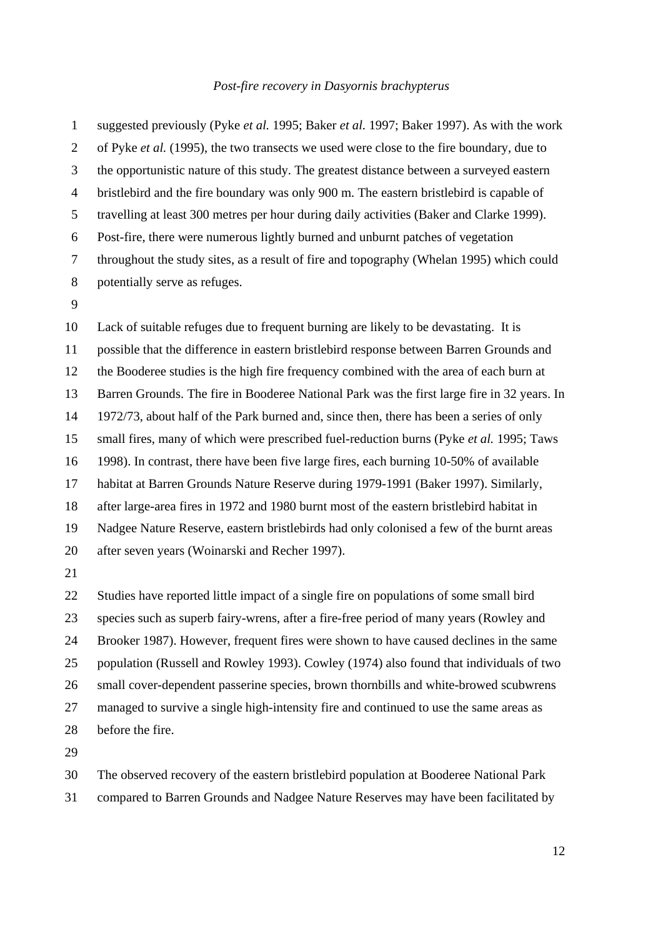1 suggested previously (Pyke *et al.* 1995; Baker *et al.* 1997; Baker 1997). As with the work 2 of Pyke *et al.* (1995), the two transects we used were close to the fire boundary, due to 3 the opportunistic nature of this study. The greatest distance between a surveyed eastern 4 bristlebird and the fire boundary was only 900 m. The eastern bristlebird is capable of 5 travelling at least 300 metres per hour during daily activities (Baker and Clarke 1999). 6 Post-fire, there were numerous lightly burned and unburnt patches of vegetation 7 throughout the study sites, as a result of fire and topography (Whelan 1995) which could 8 potentially serve as refuges.

9

10 Lack of suitable refuges due to frequent burning are likely to be devastating. It is 11 possible that the difference in eastern bristlebird response between Barren Grounds and 12 the Booderee studies is the high fire frequency combined with the area of each burn at 13 Barren Grounds. The fire in Booderee National Park was the first large fire in 32 years. In 14 1972/73, about half of the Park burned and, since then, there has been a series of only 15 small fires, many of which were prescribed fuel-reduction burns (Pyke *et al.* 1995; Taws 16 1998). In contrast, there have been five large fires, each burning 10-50% of available 17 habitat at Barren Grounds Nature Reserve during 1979-1991 (Baker 1997). Similarly, 18 after large-area fires in 1972 and 1980 burnt most of the eastern bristlebird habitat in 19 Nadgee Nature Reserve, eastern bristlebirds had only colonised a few of the burnt areas 20 after seven years (Woinarski and Recher 1997).

21

22 Studies have reported little impact of a single fire on populations of some small bird 23 species such as superb fairy-wrens, after a fire-free period of many years (Rowley and 24 Brooker 1987). However, frequent fires were shown to have caused declines in the same 25 population (Russell and Rowley 1993). Cowley (1974) also found that individuals of two 26 small cover-dependent passerine species, brown thornbills and white-browed scubwrens 27 managed to survive a single high-intensity fire and continued to use the same areas as 28 before the fire.

29

30 The observed recovery of the eastern bristlebird population at Booderee National Park

31 compared to Barren Grounds and Nadgee Nature Reserves may have been facilitated by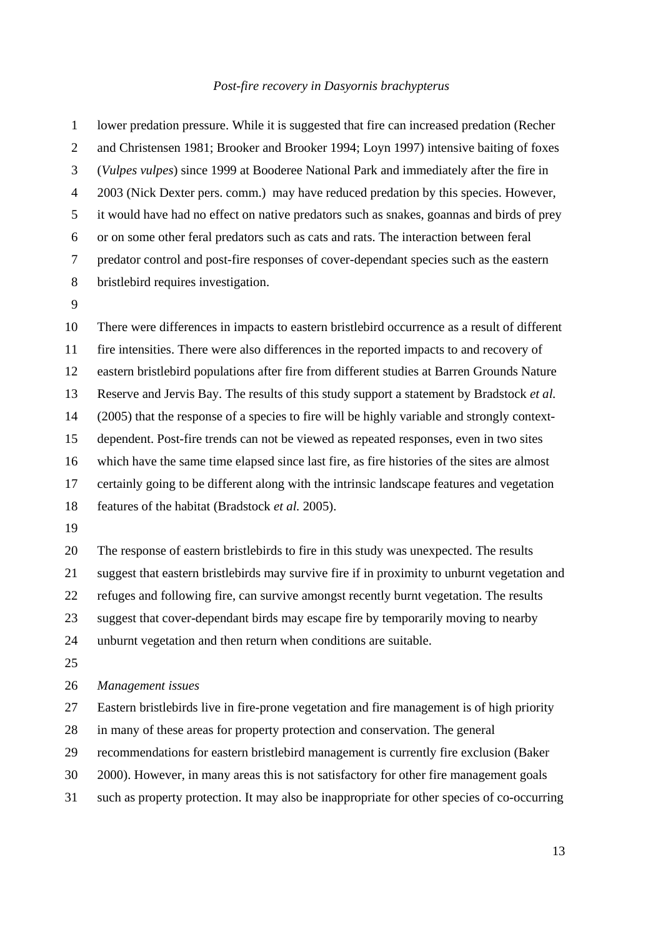1 lower predation pressure. While it is suggested that fire can increased predation (Recher 2 and Christensen 1981; Brooker and Brooker 1994; Loyn 1997) intensive baiting of foxes 3 (*Vulpes vulpes*) since 1999 at Booderee National Park and immediately after the fire in 4 2003 (Nick Dexter pers. comm.) may have reduced predation by this species. However, 5 it would have had no effect on native predators such as snakes, goannas and birds of prey 6 or on some other feral predators such as cats and rats. The interaction between feral 7 predator control and post-fire responses of cover-dependant species such as the eastern 8 bristlebird requires investigation.

9

10 There were differences in impacts to eastern bristlebird occurrence as a result of different 11 fire intensities. There were also differences in the reported impacts to and recovery of 12 eastern bristlebird populations after fire from different studies at Barren Grounds Nature 13 Reserve and Jervis Bay. The results of this study support a statement by Bradstock *et al.* 14 (2005) that the response of a species to fire will be highly variable and strongly context-15 dependent. Post-fire trends can not be viewed as repeated responses, even in two sites 16 which have the same time elapsed since last fire, as fire histories of the sites are almost 17 certainly going to be different along with the intrinsic landscape features and vegetation 18 features of the habitat (Bradstock *et al.* 2005). 19

20 The response of eastern bristlebirds to fire in this study was unexpected. The results 21 suggest that eastern bristlebirds may survive fire if in proximity to unburnt vegetation and 22 refuges and following fire, can survive amongst recently burnt vegetation. The results 23 suggest that cover-dependant birds may escape fire by temporarily moving to nearby 24 unburnt vegetation and then return when conditions are suitable. 25

### 26 *Management issues*

27 Eastern bristlebirds live in fire-prone vegetation and fire management is of high priority

- 28 in many of these areas for property protection and conservation. The general
- 29 recommendations for eastern bristlebird management is currently fire exclusion (Baker
- 30 2000). However, in many areas this is not satisfactory for other fire management goals
- 31 such as property protection. It may also be inappropriate for other species of co-occurring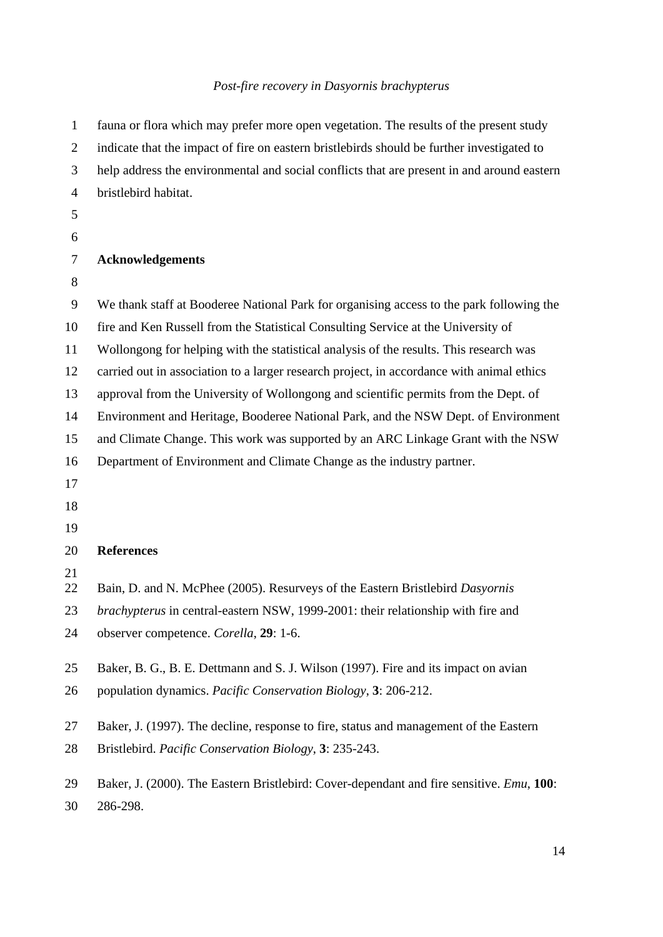| $\mathbf{1}$   | fauna or flora which may prefer more open vegetation. The results of the present study           |
|----------------|--------------------------------------------------------------------------------------------------|
| $\overline{2}$ | indicate that the impact of fire on eastern bristlebirds should be further investigated to       |
| 3              | help address the environmental and social conflicts that are present in and around eastern       |
| $\overline{4}$ | bristlebird habitat.                                                                             |
| 5              |                                                                                                  |
| 6              |                                                                                                  |
| 7              | <b>Acknowledgements</b>                                                                          |
| 8              |                                                                                                  |
| 9              | We thank staff at Booderee National Park for organising access to the park following the         |
| 10             | fire and Ken Russell from the Statistical Consulting Service at the University of                |
| 11             | Wollongong for helping with the statistical analysis of the results. This research was           |
| 12             | carried out in association to a larger research project, in accordance with animal ethics        |
| 13             | approval from the University of Wollongong and scientific permits from the Dept. of              |
| 14             | Environment and Heritage, Booderee National Park, and the NSW Dept. of Environment               |
| 15             | and Climate Change. This work was supported by an ARC Linkage Grant with the NSW                 |
| 16             | Department of Environment and Climate Change as the industry partner.                            |
| 17             |                                                                                                  |
| 18             |                                                                                                  |
| 19             |                                                                                                  |
| 20             | <b>References</b>                                                                                |
| 21<br>22       | Bain, D. and N. McPhee (2005). Resurveys of the Eastern Bristlebird Dasyornis                    |
| 23             | brachypterus in central-eastern NSW, 1999-2001: their relationship with fire and                 |
| 24             | observer competence. Corella, 29: 1-6.                                                           |
|                |                                                                                                  |
| 25             | Baker, B. G., B. E. Dettmann and S. J. Wilson (1997). Fire and its impact on avian               |
| 26             | population dynamics. Pacific Conservation Biology, 3: 206-212.                                   |
| 27             | Baker, J. (1997). The decline, response to fire, status and management of the Eastern            |
| 28             | Bristlebird. Pacific Conservation Biology, 3: 235-243.                                           |
|                |                                                                                                  |
| 29             | Baker, J. (2000). The Eastern Bristlebird: Cover-dependant and fire sensitive. <i>Emu</i> , 100: |
| 30             | 286-298.                                                                                         |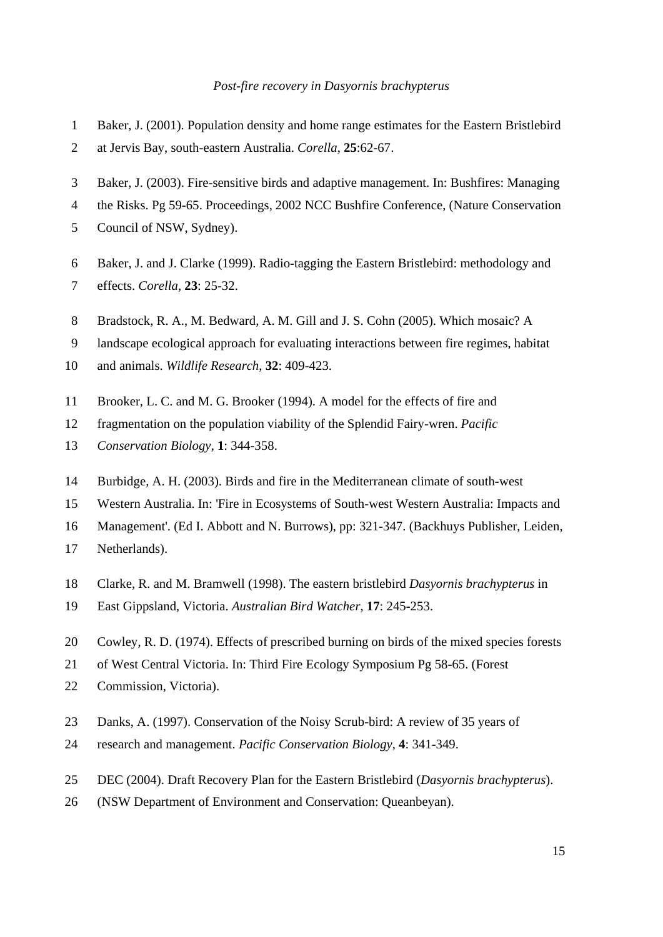- 1 Baker, J. (2001). Population density and home range estimates for the Eastern Bristlebird
- 2 at Jervis Bay, south-eastern Australia. *Corella*, **25**:62-67.
- 3 Baker, J. (2003). Fire-sensitive birds and adaptive management. In: Bushfires: Managing
- 4 the Risks. Pg 59-65. Proceedings, 2002 NCC Bushfire Conference, (Nature Conservation
- 5 Council of NSW, Sydney).
- 6 Baker, J. and J. Clarke (1999). Radio-tagging the Eastern Bristlebird: methodology and
- 7 effects. *Corella*, **23**: 25-32.
- 8 Bradstock, R. A., M. Bedward, A. M. Gill and J. S. Cohn (2005). Which mosaic? A
- 9 landscape ecological approach for evaluating interactions between fire regimes, habitat
- 10 and animals. *Wildlife Research*, **32**: 409-423.
- 11 Brooker, L. C. and M. G. Brooker (1994). A model for the effects of fire and
- 12 fragmentation on the population viability of the Splendid Fairy-wren. *Pacific*
- 13 *Conservation Biology*, **1**: 344-358.
- 14 Burbidge, A. H. (2003). Birds and fire in the Mediterranean climate of south-west
- 15 Western Australia. In: 'Fire in Ecosystems of South-west Western Australia: Impacts and
- 16 Management'. (Ed I. Abbott and N. Burrows), pp: 321-347. (Backhuys Publisher, Leiden,
- 17 Netherlands).
- 18 Clarke, R. and M. Bramwell (1998). The eastern bristlebird *Dasyornis brachypterus* in
- 19 East Gippsland, Victoria. *Australian Bird Watcher*, **17**: 245-253.
- 20 Cowley, R. D. (1974). Effects of prescribed burning on birds of the mixed species forests
- 21 of West Central Victoria. In: Third Fire Ecology Symposium Pg 58-65. (Forest
- 22 Commission, Victoria).
- 23 Danks, A. (1997). Conservation of the Noisy Scrub-bird: A review of 35 years of
- 24 research and management. *Pacific Conservation Biology*, **4**: 341-349.
- 25 DEC (2004). Draft Recovery Plan for the Eastern Bristlebird (*Dasyornis brachypterus*).
- 26 (NSW Department of Environment and Conservation: Queanbeyan).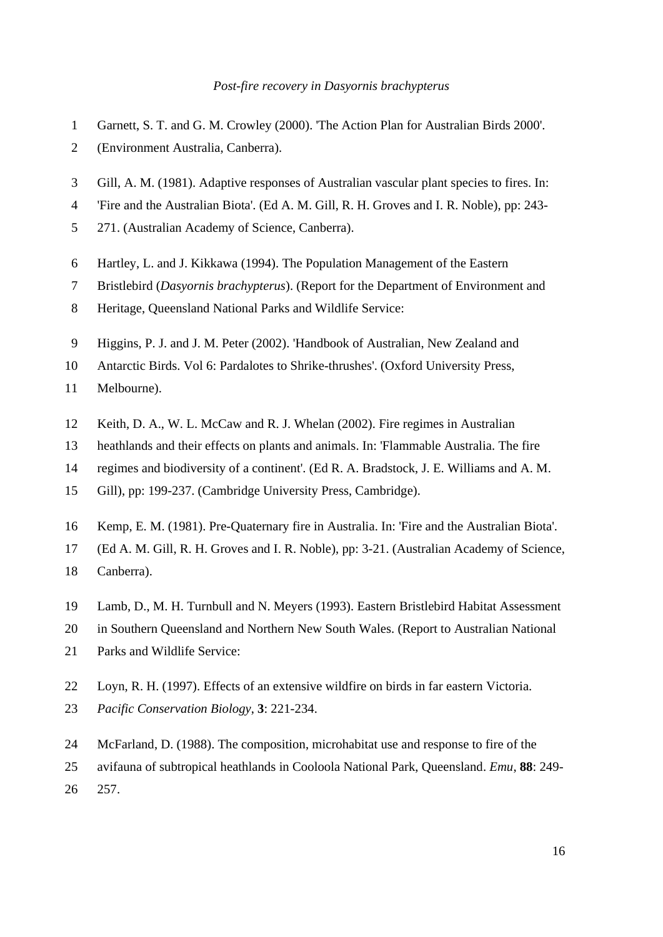- 1 Garnett, S. T. and G. M. Crowley (2000). 'The Action Plan for Australian Birds 2000'.
- 2 (Environment Australia, Canberra).
- 3 Gill, A. M. (1981). Adaptive responses of Australian vascular plant species to fires. In:
- 4 'Fire and the Australian Biota'. (Ed A. M. Gill, R. H. Groves and I. R. Noble), pp: 243-
- 5 271. (Australian Academy of Science, Canberra).
- 6 Hartley, L. and J. Kikkawa (1994). The Population Management of the Eastern
- 7 Bristlebird (*Dasyornis brachypterus*). (Report for the Department of Environment and
- 8 Heritage, Queensland National Parks and Wildlife Service:
- 9 Higgins, P. J. and J. M. Peter (2002). 'Handbook of Australian, New Zealand and

10 Antarctic Birds. Vol 6: Pardalotes to Shrike-thrushes'. (Oxford University Press,

- 11 Melbourne).
- 12 Keith, D. A., W. L. McCaw and R. J. Whelan (2002). Fire regimes in Australian
- 13 heathlands and their effects on plants and animals. In: 'Flammable Australia. The fire
- 14 regimes and biodiversity of a continent'. (Ed R. A. Bradstock, J. E. Williams and A. M.
- 15 Gill), pp: 199-237. (Cambridge University Press, Cambridge).
- 16 Kemp, E. M. (1981). Pre-Quaternary fire in Australia. In: 'Fire and the Australian Biota'.
- 17 (Ed A. M. Gill, R. H. Groves and I. R. Noble), pp: 3-21. (Australian Academy of Science,
- 18 Canberra).
- 19 Lamb, D., M. H. Turnbull and N. Meyers (1993). Eastern Bristlebird Habitat Assessment
- 20 in Southern Queensland and Northern New South Wales. (Report to Australian National
- 21 Parks and Wildlife Service:
- 22 Loyn, R. H. (1997). Effects of an extensive wildfire on birds in far eastern Victoria.
- 23 *Pacific Conservation Biology*, **3**: 221-234.
- 24 McFarland, D. (1988). The composition, microhabitat use and response to fire of the
- 25 avifauna of subtropical heathlands in Cooloola National Park, Queensland. *Emu*, **88**: 249-
- 26 257.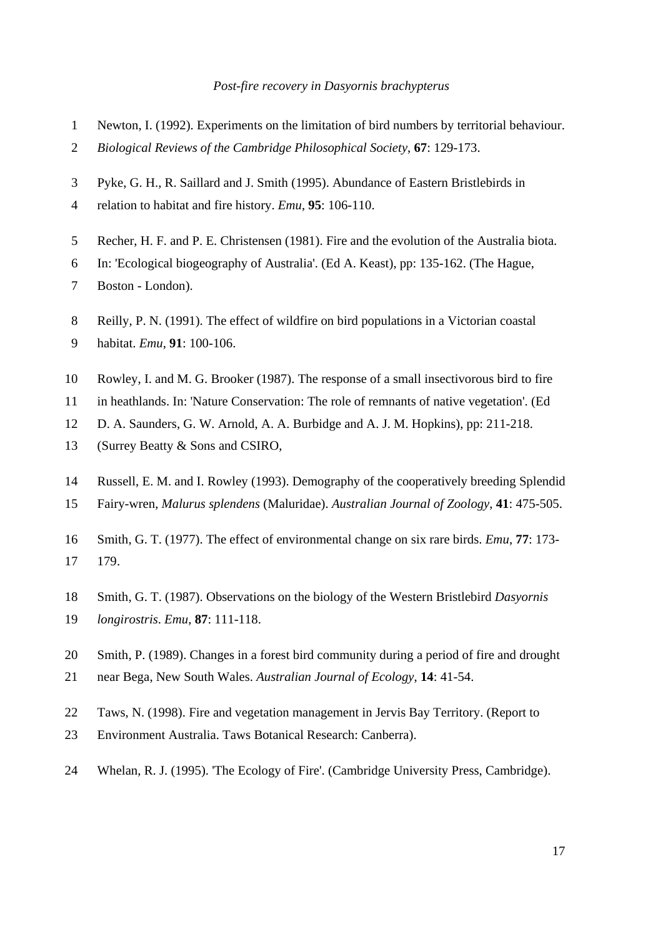- 1 Newton, I. (1992). Experiments on the limitation of bird numbers by territorial behaviour.
- 2 *Biological Reviews of the Cambridge Philosophical Society*, **67**: 129-173.
- 3 Pyke, G. H., R. Saillard and J. Smith (1995). Abundance of Eastern Bristlebirds in
- 4 relation to habitat and fire history. *Emu*, **95**: 106-110.
- 5 Recher, H. F. and P. E. Christensen (1981). Fire and the evolution of the Australia biota.
- 6 In: 'Ecological biogeography of Australia'. (Ed A. Keast), pp: 135-162. (The Hague,
- 7 Boston London).
- 8 Reilly, P. N. (1991). The effect of wildfire on bird populations in a Victorian coastal
- 9 habitat. *Emu*, **91**: 100-106.
- 10 Rowley, I. and M. G. Brooker (1987). The response of a small insectivorous bird to fire
- 11 in heathlands. In: 'Nature Conservation: The role of remnants of native vegetation'. (Ed
- 12 D. A. Saunders, G. W. Arnold, A. A. Burbidge and A. J. M. Hopkins), pp: 211-218.
- 13 (Surrey Beatty & Sons and CSIRO,
- 14 Russell, E. M. and I. Rowley (1993). Demography of the cooperatively breeding Splendid
- 15 Fairy-wren, *Malurus splendens* (Maluridae). *Australian Journal of Zoology*, **41**: 475-505.
- 16 Smith, G. T. (1977). The effect of environmental change on six rare birds. *Emu*, **77**: 173- 17 179.
- 18 Smith, G. T. (1987). Observations on the biology of the Western Bristlebird *Dasyornis*
- 19 *longirostris*. *Emu*, **87**: 111-118.
- 20 Smith, P. (1989). Changes in a forest bird community during a period of fire and drought
- 21 near Bega, New South Wales. *Australian Journal of Ecology*, **14**: 41-54.
- 22 Taws, N. (1998). Fire and vegetation management in Jervis Bay Territory. (Report to
- 23 Environment Australia. Taws Botanical Research: Canberra).
- 24 Whelan, R. J. (1995). 'The Ecology of Fire'. (Cambridge University Press, Cambridge).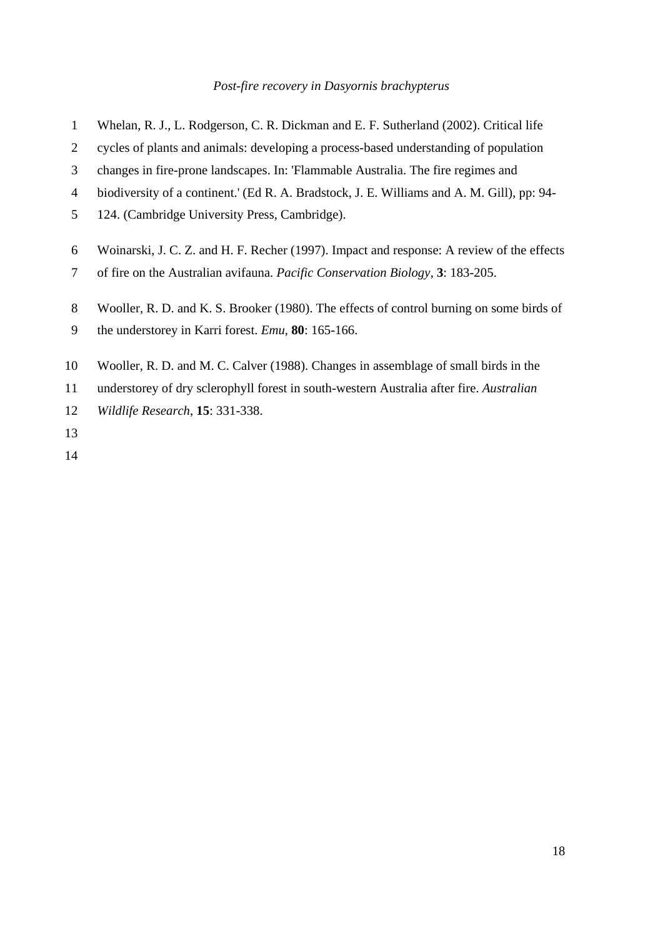- 1 Whelan, R. J., L. Rodgerson, C. R. Dickman and E. F. Sutherland (2002). Critical life
- 2 cycles of plants and animals: developing a process-based understanding of population
- 3 changes in fire-prone landscapes. In: 'Flammable Australia. The fire regimes and
- 4 biodiversity of a continent.' (Ed R. A. Bradstock, J. E. Williams and A. M. Gill), pp: 94-
- 5 124. (Cambridge University Press, Cambridge).
- 6 Woinarski, J. C. Z. and H. F. Recher (1997). Impact and response: A review of the effects
- 7 of fire on the Australian avifauna. *Pacific Conservation Biology*, **3**: 183-205.
- 8 Wooller, R. D. and K. S. Brooker (1980). The effects of control burning on some birds of
- 9 the understorey in Karri forest. *Emu*, **80**: 165-166.
- 10 Wooller, R. D. and M. C. Calver (1988). Changes in assemblage of small birds in the
- 11 understorey of dry sclerophyll forest in south-western Australia after fire. *Australian*
- 12 *Wildlife Research*, **15**: 331-338.
- 13
- 14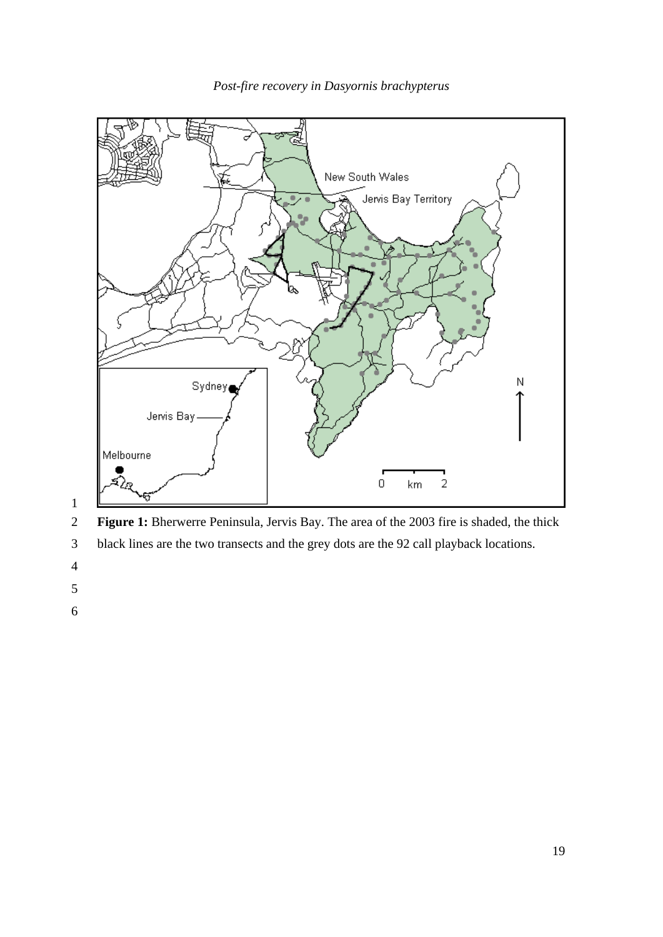

*Post-fire recovery in Dasyornis brachypterus* 



- 3 black lines are the two transects and the grey dots are the 92 call playback locations.
- 
- 
-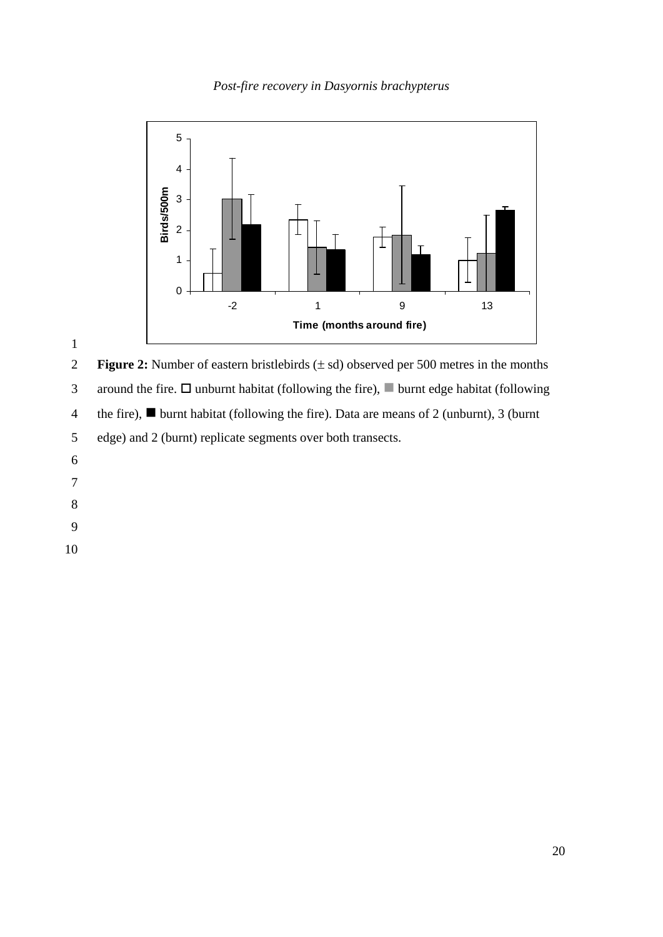*Post-fire recovery in Dasyornis brachypterus* 



2 **Figure 2:** Number of eastern bristlebirds ( $\pm$  sd) observed per 500 metres in the months 3 around the fire.  $\Box$  unburnt habitat (following the fire),  $\Box$  burnt edge habitat (following 4 the fire),  $\blacksquare$  burnt habitat (following the fire). Data are means of 2 (unburnt), 3 (burnt 5 edge) and 2 (burnt) replicate segments over both transects.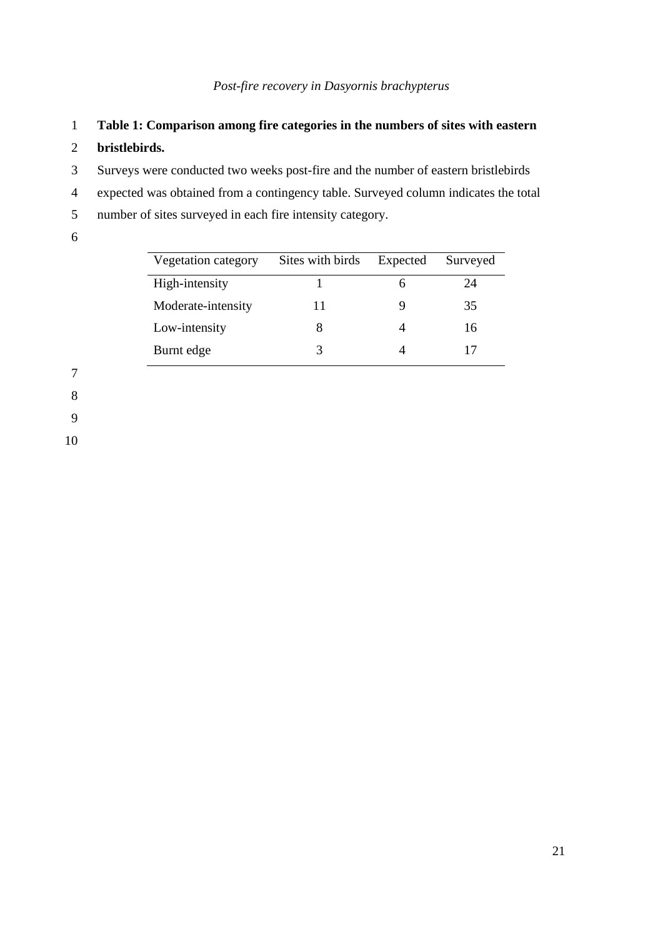- 1 **Table 1: Comparison among fire categories in the numbers of sites with eastern**
- 2 **bristlebirds.**
- 3 Surveys were conducted two weeks post-fire and the number of eastern bristlebirds
- 4 expected was obtained from a contingency table. Surveyed column indicates the total
- 5 number of sites surveyed in each fire intensity category.
- 6

| Vegetation category | Sites with birds | Expected | Surveyed |
|---------------------|------------------|----------|----------|
| High-intensity      |                  | h        | 24       |
| Moderate-intensity  | 11               |          | 35       |
| Low-intensity       | 8                |          | 16       |
| Burnt edge          | 3                |          |          |

7

8

9